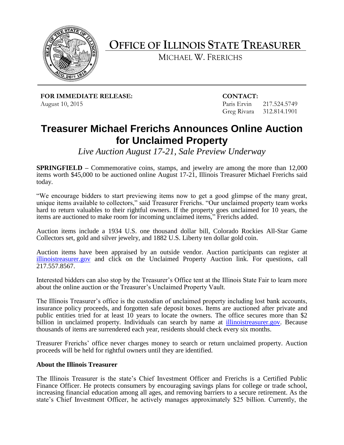

**OFFICE OF ILLINOIS STATE TREASURER**

MICHAEL W. FRERICHS

**FOR IMMEDIATE RELEASE: CONTACT:** August 10, 2015 **Paris Ervin** 217.524.5749

Greg Rivara 312.814.1901

## **Treasurer Michael Frerichs Announces Online Auction for Unclaimed Property**

*Live Auction August 17-21, Sale Preview Underway*

**SPRINGFIELD –** Commemorative coins, stamps, and jewelry are among the more than 12,000 items worth \$45,000 to be auctioned online August 17-21, Illinois Treasurer Michael Frerichs said today.

"We encourage bidders to start previewing items now to get a good glimpse of the many great, unique items available to collectors," said Treasurer Frerichs. "Our unclaimed property team works hard to return valuables to their rightful owners. If the property goes unclaimed for 10 years, the items are auctioned to make room for incoming unclaimed items," Frerichs added.

Auction items include a 1934 U.S. one thousand dollar bill, Colorado Rockies All-Star Game Collectors set, gold and silver jewelry, and 1882 U.S. Liberty ten dollar gold coin.

Auction items have been appraised by an outside vendor. Auction participants can register at [illinoistreasurer.gov](http://illinoistreasurer.gov/) and click on the Unclaimed Property Auction link. For questions, call 217.557.8567.

Interested bidders can also stop by the Treasurer's Office tent at the Illinois State Fair to learn more about the online auction or the Treasurer's Unclaimed Property Vault.

The Illinois Treasurer's office is the custodian of unclaimed property including lost bank accounts, insurance policy proceeds, and forgotten safe deposit boxes. Items are auctioned after private and public entities tried for at least 10 years to locate the owners. The office secures more than \$2 billion in unclaimed property. Individuals can search by name at [illinoistreasurer.gov.](http://www.illinoistreasurer.gov/) Because thousands of items are surrendered each year, residents should check every six months.

Treasurer Frerichs' office never charges money to search or return unclaimed property. Auction proceeds will be held for rightful owners until they are identified.

## **About the Illinois Treasurer**

The Illinois Treasurer is the state's Chief Investment Officer and Frerichs is a Certified Public Finance Officer. He protects consumers by encouraging savings plans for college or trade school, increasing financial education among all ages, and removing barriers to a secure retirement. As the state's Chief Investment Officer, he actively manages approximately \$25 billion. Currently, the